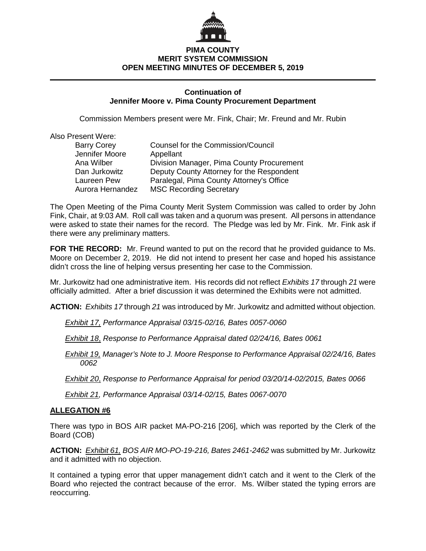

## **PIMA COUNTY MERIT SYSTEM COMMISSION OPEN MEETING MINUTES OF DECEMBER 5, 2019**

### **Continuation of Jennifer Moore v. Pima County Procurement Department**

Commission Members present were Mr. Fink, Chair; Mr. Freund and Mr. Rubin

Also Present Were:

| <b>Barry Corey</b> | <b>Counsel for the Commission/Council</b> |
|--------------------|-------------------------------------------|
| Jennifer Moore     | Appellant                                 |
| Ana Wilber         | Division Manager, Pima County Procurement |
| Dan Jurkowitz      | Deputy County Attorney for the Respondent |
| Laureen Pew        | Paralegal, Pima County Attorney's Office  |
| Aurora Hernandez   | <b>MSC Recording Secretary</b>            |
|                    |                                           |

The Open Meeting of the Pima County Merit System Commission was called to order by John Fink, Chair, at 9:03 AM. Roll call was taken and a quorum was present. All persons in attendance were asked to state their names for the record. The Pledge was led by Mr. Fink. Mr. Fink ask if there were any preliminary matters.

**FOR THE RECORD:** Mr. Freund wanted to put on the record that he provided guidance to Ms. Moore on December 2, 2019. He did not intend to present her case and hoped his assistance didn't cross the line of helping versus presenting her case to the Commission.

Mr. Jurkowitz had one administrative item. His records did not reflect *Exhibits 17* through *21* were officially admitted. After a brief discussion it was determined the Exhibits were not admitted.

**ACTION:** *Exhibits 17* through *21* was introduced by Mr. Jurkowitz and admitted without objection.

*Exhibit 17, Performance Appraisal 03/15-02/16, Bates 0057-0060*

*Exhibit 18*, *Response to Performance Appraisal dated 02/24/16, Bates 0061*

*Exhibit 19, Manager's Note to J. Moore Response to Performance Appraisal 02/24/16, Bates 0062*

*Exhibit 20*, *Response to Performance Appraisal for period 03/20/14-02/2015, Bates 0066*

*Exhibit 21, Performance Appraisal 03/14-02/15, Bates 0067-0070*

### **ALLEGATION #6**

There was typo in BOS AIR packet MA-PO-216 [206], which was reported by the Clerk of the Board (COB)

**ACTION:** *Exhibit 61, BOS AIR MO-PO-19-216, Bates 2461-2462* was submitted by Mr. Jurkowitz and it admitted with no objection.

It contained a typing error that upper management didn't catch and it went to the Clerk of the Board who rejected the contract because of the error. Ms. Wilber stated the typing errors are reoccurring.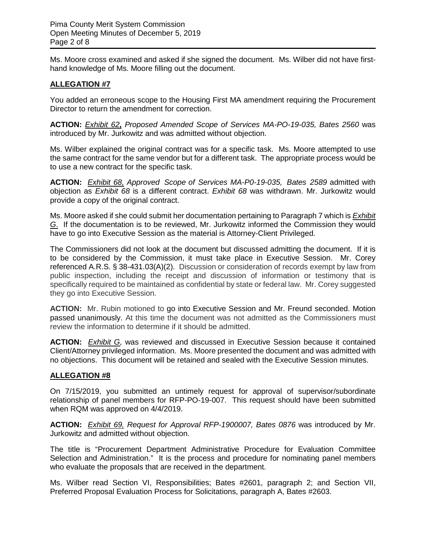Ms. Moore cross examined and asked if she signed the document. Ms. Wilber did not have firsthand knowledge of Ms. Moore filling out the document.

### **ALLEGATION #7**

You added an erroneous scope to the Housing First MA amendment requiring the Procurement Director to return the amendment for correction.

**ACTION:** *Exhibit 62***,** *Proposed Amended Scope of Services MA-PO-19-035, Bates 2560* was introduced by Mr. Jurkowitz and was admitted without objection.

Ms. Wilber explained the original contract was for a specific task. Ms. Moore attempted to use the same contract for the same vendor but for a different task. The appropriate process would be to use a new contract for the specific task.

**ACTION:** *Exhibit 68, Approved Scope of Services MA-P0-19-035, Bates 2589* admitted with objection as *Exhibit 68* is a different contract. *Exhibit 68* was withdrawn. Mr. Jurkowitz would provide a copy of the original contract.

Ms. Moore asked if she could submit her documentation pertaining to Paragraph 7 which is *Exhibit G*. If the documentation is to be reviewed, Mr. Jurkowitz informed the Commission they would have to go into Executive Session as the material is Attorney-Client Privileged.

The Commissioners did not look at the document but discussed admitting the document. If it is to be considered by the Commission, it must take place in Executive Session. Mr. Corey referenced A.R.S. § 38-431.03(A)(2). Discussion or consideration of records exempt by law from public inspection, including the receipt and discussion of information or testimony that is specifically required to be maintained as confidential by state or federal law. Mr. Corey suggested they go into Executive Session.

**ACTION:** Mr. Rubin motioned to go into Executive Session and Mr. Freund seconded. Motion passed unanimously. At this time the document was not admitted as the Commissioners must review the information to determine if it should be admitted.

**ACTION:** *Exhibit G,* was reviewed and discussed in Executive Session because it contained Client/Attorney privileged information. Ms. Moore presented the document and was admitted with no objections. This document will be retained and sealed with the Executive Session minutes.

### **ALLEGATION #8**

On 7/15/2019, you submitted an untimely request for approval of supervisor/subordinate relationship of panel members for RFP-PO-19-007. This request should have been submitted when RQM was approved on 4/4/2019.

**ACTION:** *Exhibit 69, Request for Approval RFP-1900007, Bates 0876* was introduced by Mr. Jurkowitz and admitted without objection.

The title is "Procurement Department Administrative Procedure for Evaluation Committee Selection and Administration." It is the process and procedure for nominating panel members who evaluate the proposals that are received in the department.

Ms. Wilber read Section VI, Responsibilities; Bates #2601, paragraph 2; and Section VII, Preferred Proposal Evaluation Process for Solicitations, paragraph A, Bates #2603.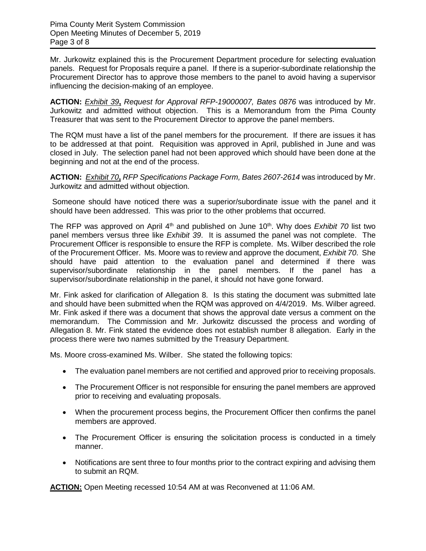Mr. Jurkowitz explained this is the Procurement Department procedure for selecting evaluation panels. Request for Proposals require a panel. If there is a superior-subordinate relationship the Procurement Director has to approve those members to the panel to avoid having a supervisor influencing the decision-making of an employee.

**ACTION:** *Exhibit 39***,** *Request for Approval RFP-19000007, Bates 0876* was introduced by Mr. Jurkowitz and admitted without objection. This is a Memorandum from the Pima County Treasurer that was sent to the Procurement Director to approve the panel members.

The RQM must have a list of the panel members for the procurement. If there are issues it has to be addressed at that point. Requisition was approved in April, published in June and was closed in July. The selection panel had not been approved which should have been done at the beginning and not at the end of the process.

**ACTION:** *Exhibit 70***,** *RFP Specifications Package Form, Bates 2607-2614* was introduced by Mr. Jurkowitz and admitted without objection.

Someone should have noticed there was a superior/subordinate issue with the panel and it should have been addressed. This was prior to the other problems that occurred.

The RFP was approved on April 4th and published on June 10th. Why does *Exhibit 70* list two panel members versus three like *Exhibit 39*. It is assumed the panel was not complete. The Procurement Officer is responsible to ensure the RFP is complete. Ms. Wilber described the role of the Procurement Officer. Ms. Moore was to review and approve the document, *Exhibit 70*. She should have paid attention to the evaluation panel and determined if there was supervisor/subordinate relationship in the panel members. If the panel has a supervisor/subordinate relationship in the panel, it should not have gone forward.

Mr. Fink asked for clarification of Allegation 8. Is this stating the document was submitted late and should have been submitted when the RQM was approved on 4/4/2019. Ms. Wilber agreed. Mr. Fink asked if there was a document that shows the approval date versus a comment on the memorandum. The Commission and Mr. Jurkowitz discussed the process and wording of Allegation 8. Mr. Fink stated the evidence does not establish number 8 allegation. Early in the process there were two names submitted by the Treasury Department.

Ms. Moore cross-examined Ms. Wilber. She stated the following topics:

- The evaluation panel members are not certified and approved prior to receiving proposals.
- The Procurement Officer is not responsible for ensuring the panel members are approved prior to receiving and evaluating proposals.
- When the procurement process begins, the Procurement Officer then confirms the panel members are approved.
- The Procurement Officer is ensuring the solicitation process is conducted in a timely manner.
- Notifications are sent three to four months prior to the contract expiring and advising them to submit an RQM.

**ACTION:** Open Meeting recessed 10:54 AM at was Reconvened at 11:06 AM.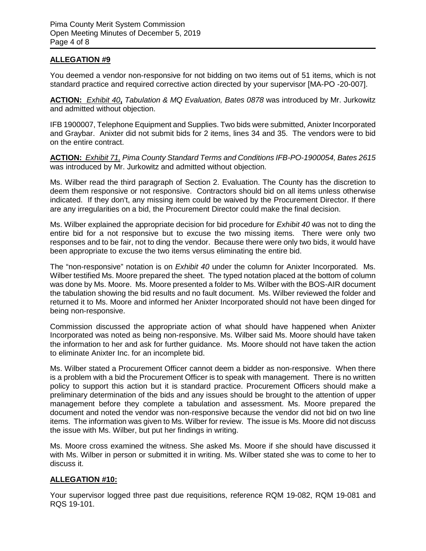# **ALLEGATION #9**

You deemed a vendor non-responsive for not bidding on two items out of 51 items, which is not standard practice and required corrective action directed by your supervisor [MA-PO -20-007].

**ACTION:** *Exhibit 40***,** *Tabulation & MQ Evaluation, Bates 0878* was introduced by Mr. Jurkowitz and admitted without objection.

IFB 1900007, Telephone Equipment and Supplies. Two bids were submitted, Anixter Incorporated and Graybar. Anixter did not submit bids for 2 items, lines 34 and 35. The vendors were to bid on the entire contract.

**ACTION:** *Exhibit 71, Pima County Standard Terms and Conditions IFB-PO-1900054, Bates 2615* was introduced by Mr. Jurkowitz and admitted without objection.

Ms. Wilber read the third paragraph of Section 2. Evaluation. The County has the discretion to deem them responsive or not responsive. Contractors should bid on all items unless otherwise indicated. If they don't, any missing item could be waived by the Procurement Director. If there are any irregularities on a bid, the Procurement Director could make the final decision.

Ms. Wilber explained the appropriate decision for bid procedure for *Exhibit 40* was not to ding the entire bid for a not responsive but to excuse the two missing items. There were only two responses and to be fair, not to ding the vendor. Because there were only two bids, it would have been appropriate to excuse the two items versus eliminating the entire bid.

The "non-responsive" notation is on *Exhibit 40* under the column for Anixter Incorporated. Ms. Wilber testified Ms. Moore prepared the sheet. The typed notation placed at the bottom of column was done by Ms. Moore. Ms. Moore presented a folder to Ms. Wilber with the BOS-AIR document the tabulation showing the bid results and no fault document. Ms. Wilber reviewed the folder and returned it to Ms. Moore and informed her Anixter Incorporated should not have been dinged for being non-responsive.

Commission discussed the appropriate action of what should have happened when Anixter Incorporated was noted as being non-responsive. Ms. Wilber said Ms. Moore should have taken the information to her and ask for further guidance. Ms. Moore should not have taken the action to eliminate Anixter Inc. for an incomplete bid.

Ms. Wilber stated a Procurement Officer cannot deem a bidder as non-responsive. When there is a problem with a bid the Procurement Officer is to speak with management. There is no written policy to support this action but it is standard practice. Procurement Officers should make a preliminary determination of the bids and any issues should be brought to the attention of upper management before they complete a tabulation and assessment. Ms. Moore prepared the document and noted the vendor was non-responsive because the vendor did not bid on two line items. The information was given to Ms. Wilber for review. The issue is Ms. Moore did not discuss the issue with Ms. Wilber, but put her findings in writing.

Ms. Moore cross examined the witness. She asked Ms. Moore if she should have discussed it with Ms. Wilber in person or submitted it in writing. Ms. Wilber stated she was to come to her to discuss it.

# **ALLEGATION #10:**

Your supervisor logged three past due requisitions, reference RQM 19-082, RQM 19-081 and RQS 19-101.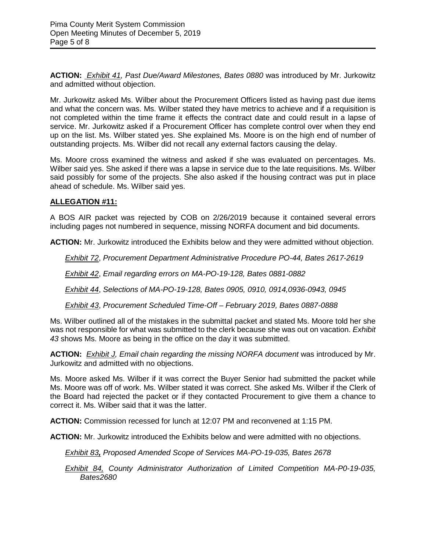**ACTION:** *Exhibit 41, Past Due/Award Milestones, Bates 0880* was introduced by Mr. Jurkowitz and admitted without objection.

Mr. Jurkowitz asked Ms. Wilber about the Procurement Officers listed as having past due items and what the concern was. Ms. Wilber stated they have metrics to achieve and if a requisition is not completed within the time frame it effects the contract date and could result in a lapse of service. Mr. Jurkowitz asked if a Procurement Officer has complete control over when they end up on the list. Ms. Wilber stated yes. She explained Ms. Moore is on the high end of number of outstanding projects. Ms. Wilber did not recall any external factors causing the delay.

Ms. Moore cross examined the witness and asked if she was evaluated on percentages. Ms. Wilber said yes. She asked if there was a lapse in service due to the late requisitions. Ms. Wilber said possibly for some of the projects. She also asked if the housing contract was put in place ahead of schedule. Ms. Wilber said yes.

# **ALLEGATION #11:**

A BOS AIR packet was rejected by COB on 2/26/2019 because it contained several errors including pages not numbered in sequence, missing NORFA document and bid documents.

**ACTION:** Mr. Jurkowitz introduced the Exhibits below and they were admitted without objection.

*Exhibit 72*, *Procurement Department Administrative Procedure PO-44, Bates 2617-2619*

*Exhibit 42*, *Email regarding errors on MA-PO-19-128, Bates 0881-0882* 

*Exhibit 44*, *Selections of MA-PO-19-128, Bates 0905, 0910, 0914,0936-0943, 0945* 

*Exhibit 43*, *Procurement Scheduled Time-Off – February 2019, Bates 0887-0888*

Ms. Wilber outlined all of the mistakes in the submittal packet and stated Ms. Moore told her she was not responsible for what was submitted to the clerk because she was out on vacation. *Exhibit 43* shows Ms. Moore as being in the office on the day it was submitted.

**ACTION:** *Exhibit J, Email chain regarding the missing NORFA document* was introduced by Mr. Jurkowitz and admitted with no objections.

Ms. Moore asked Ms. Wilber if it was correct the Buyer Senior had submitted the packet while Ms. Moore was off of work. Ms. Wilber stated it was correct. She asked Ms. Wilber if the Clerk of the Board had rejected the packet or if they contacted Procurement to give them a chance to correct it. Ms. Wilber said that it was the latter.

**ACTION:** Commission recessed for lunch at 12:07 PM and reconvened at 1:15 PM.

**ACTION:** Mr. Jurkowitz introduced the Exhibits below and were admitted with no objections.

*Exhibit 83, Proposed Amended Scope of Services MA-PO-19-035, Bates 2678* 

*Exhibit 84, County Administrator Authorization of Limited Competition MA-P0-19-035, Bates2680*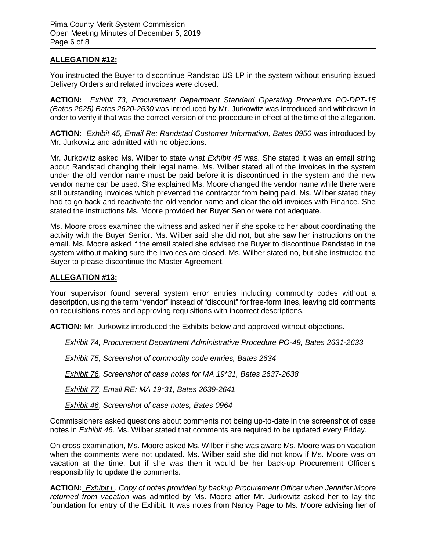# **ALLEGATION #12:**

You instructed the Buyer to discontinue Randstad US LP in the system without ensuring issued Delivery Orders and related invoices were closed.

**ACTION:** *Exhibit 73, Procurement Department Standard Operating Procedure PO-DPT-15 (Bates 2625) Bates 2620-2630* was introduced by Mr. Jurkowitz was introduced and withdrawn in order to verify if that was the correct version of the procedure in effect at the time of the allegation.

**ACTION:** *Exhibit 45, Email Re: Randstad Customer Information, Bates 0950* was introduced by Mr. Jurkowitz and admitted with no objections.

Mr. Jurkowitz asked Ms. Wilber to state what *Exhibit 45* was. She stated it was an email string about Randstad changing their legal name. Ms. Wilber stated all of the invoices in the system under the old vendor name must be paid before it is discontinued in the system and the new vendor name can be used. She explained Ms. Moore changed the vendor name while there were still outstanding invoices which prevented the contractor from being paid. Ms. Wilber stated they had to go back and reactivate the old vendor name and clear the old invoices with Finance. She stated the instructions Ms. Moore provided her Buyer Senior were not adequate.

Ms. Moore cross examined the witness and asked her if she spoke to her about coordinating the activity with the Buyer Senior. Ms. Wilber said she did not, but she saw her instructions on the email. Ms. Moore asked if the email stated she advised the Buyer to discontinue Randstad in the system without making sure the invoices are closed. Ms. Wilber stated no, but she instructed the Buyer to please discontinue the Master Agreement.

### **ALLEGATION #13:**

Your supervisor found several system error entries including commodity codes without a description, using the term "vendor" instead of "discount" for free-form lines, leaving old comments on requisitions notes and approving requisitions with incorrect descriptions.

**ACTION:** Mr. Jurkowitz introduced the Exhibits below and approved without objections.

*Exhibit 74, Procurement Department Administrative Procedure PO-49, Bates 2631-2633* 

*Exhibit 75, Screenshot of commodity code entries, Bates 2634* 

*Exhibit 76*, *Screenshot of case notes for MA 19\*31, Bates 2637-2638* 

*Exhibit 77*, *Email RE: MA 19\*31, Bates 2639-2641*

*Exhibit 46*, *Screenshot of case notes, Bates 0964*

Commissioners asked questions about comments not being up-to-date in the screenshot of case notes in *Exhibit 46*. Ms. Wilber stated that comments are required to be updated every Friday.

On cross examination, Ms. Moore asked Ms. Wilber if she was aware Ms. Moore was on vacation when the comments were not updated. Ms. Wilber said she did not know if Ms. Moore was on vacation at the time, but if she was then it would be her back-up Procurement Officer's responsibility to update the comments.

**ACTION:** *Exhibit L*, *Copy of notes provided by backup Procurement Officer when Jennifer Moore returned from vacation* was admitted by Ms. Moore after Mr. Jurkowitz asked her to lay the foundation for entry of the Exhibit. It was notes from Nancy Page to Ms. Moore advising her of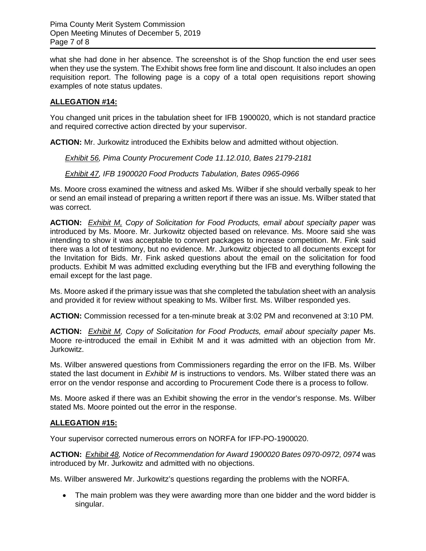what she had done in her absence. The screenshot is of the Shop function the end user sees when they use the system. The Exhibit shows free form line and discount. It also includes an open requisition report. The following page is a copy of a total open requisitions report showing examples of note status updates.

## **ALLEGATION #14:**

You changed unit prices in the tabulation sheet for IFB 1900020, which is not standard practice and required corrective action directed by your supervisor.

**ACTION:** Mr. Jurkowitz introduced the Exhibits below and admitted without objection.

### *Exhibit 56, Pima County Procurement Code 11.12.010, Bates 2179-2181*

### *Exhibit 47, IFB 1900020 Food Products Tabulation, Bates 0965-0966*

Ms. Moore cross examined the witness and asked Ms. Wilber if she should verbally speak to her or send an email instead of preparing a written report if there was an issue. Ms. Wilber stated that was correct.

**ACTION:** *Exhibit M, Copy of Solicitation for Food Products, email about specialty paper* was introduced by Ms. Moore. Mr. Jurkowitz objected based on relevance. Ms. Moore said she was intending to show it was acceptable to convert packages to increase competition. Mr. Fink said there was a lot of testimony, but no evidence. Mr. Jurkowitz objected to all documents except for the Invitation for Bids. Mr. Fink asked questions about the email on the solicitation for food products. Exhibit M was admitted excluding everything but the IFB and everything following the email except for the last page.

Ms. Moore asked if the primary issue was that she completed the tabulation sheet with an analysis and provided it for review without speaking to Ms. Wilber first. Ms. Wilber responded yes.

**ACTION:** Commission recessed for a ten-minute break at 3:02 PM and reconvened at 3:10 PM.

**ACTION:** *Exhibit M, Copy of Solicitation for Food Products, email about specialty paper* Ms. Moore re-introduced the email in Exhibit M and it was admitted with an objection from Mr. Jurkowitz.

Ms. Wilber answered questions from Commissioners regarding the error on the IFB. Ms. Wilber stated the last document in *Exhibit M* is instructions to vendors. Ms. Wilber stated there was an error on the vendor response and according to Procurement Code there is a process to follow.

Ms. Moore asked if there was an Exhibit showing the error in the vendor's response. Ms. Wilber stated Ms. Moore pointed out the error in the response.

### **ALLEGATION #15:**

Your supervisor corrected numerous errors on NORFA for IFP-PO-1900020.

**ACTION:** *Exhibit 48, Notice of Recommendation for Award 1900020 Bates 0970-0972, 0974* was introduced by Mr. Jurkowitz and admitted with no objections.

Ms. Wilber answered Mr. Jurkowitz's questions regarding the problems with the NORFA.

• The main problem was they were awarding more than one bidder and the word bidder is singular.